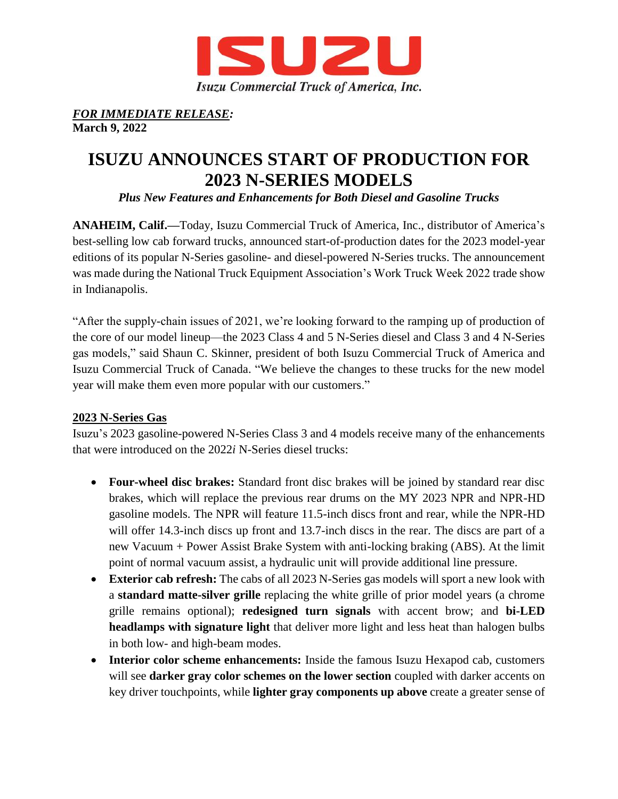

#### *FOR IMMEDIATE RELEASE:* **March 9, 2022**

# **ISUZU ANNOUNCES START OF PRODUCTION FOR 2023 N-SERIES MODELS**

*Plus New Features and Enhancements for Both Diesel and Gasoline Trucks* 

**ANAHEIM, Calif.—**Today, Isuzu Commercial Truck of America, Inc., distributor of America's best-selling low cab forward trucks, announced start-of-production dates for the 2023 model-year editions of its popular N-Series gasoline- and diesel-powered N-Series trucks. The announcement was made during the National Truck Equipment Association's Work Truck Week 2022 trade show in Indianapolis.

"After the supply-chain issues of 2021, we're looking forward to the ramping up of production of the core of our model lineup—the 2023 Class 4 and 5 N-Series diesel and Class 3 and 4 N-Series gas models," said Shaun C. Skinner, president of both Isuzu Commercial Truck of America and Isuzu Commercial Truck of Canada. "We believe the changes to these trucks for the new model year will make them even more popular with our customers."

# **2023 N-Series Gas**

Isuzu's 2023 gasoline-powered N-Series Class 3 and 4 models receive many of the enhancements that were introduced on the 2022*i* N-Series diesel trucks:

- **Four-wheel disc brakes:** Standard front disc brakes will be joined by standard rear disc brakes, which will replace the previous rear drums on the MY 2023 NPR and NPR-HD gasoline models. The NPR will feature 11.5-inch discs front and rear, while the NPR-HD will offer 14.3-inch discs up front and 13.7-inch discs in the rear. The discs are part of a new Vacuum + Power Assist Brake System with anti-locking braking (ABS). At the limit point of normal vacuum assist, a hydraulic unit will provide additional line pressure.
- **Exterior cab refresh:** The cabs of all 2023 N-Series gas models will sport a new look with a **standard matte-silver grille** replacing the white grille of prior model years (a chrome grille remains optional); **redesigned turn signals** with accent brow; and **bi-LED headlamps with signature light** that deliver more light and less heat than halogen bulbs in both low- and high-beam modes.
- **Interior color scheme enhancements:** Inside the famous Isuzu Hexapod cab, customers will see **darker gray color schemes on the lower section** coupled with darker accents on key driver touchpoints, while **lighter gray components up above** create a greater sense of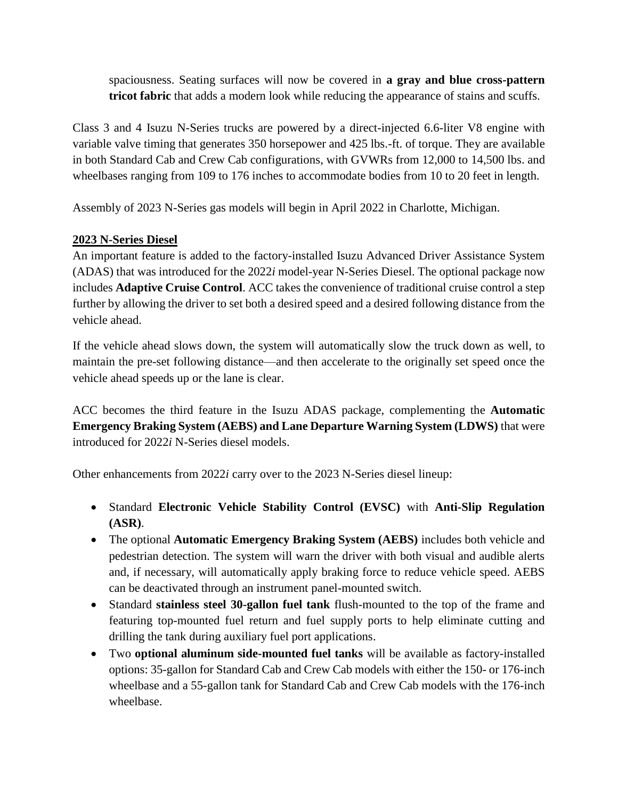spaciousness. Seating surfaces will now be covered in **a gray and blue cross-pattern tricot fabric** that adds a modern look while reducing the appearance of stains and scuffs.

Class 3 and 4 Isuzu N-Series trucks are powered by a direct-injected 6.6-liter V8 engine with variable valve timing that generates 350 horsepower and 425 lbs.-ft. of torque. They are available in both Standard Cab and Crew Cab configurations, with GVWRs from 12,000 to 14,500 lbs. and wheelbases ranging from 109 to 176 inches to accommodate bodies from 10 to 20 feet in length.

Assembly of 2023 N-Series gas models will begin in April 2022 in Charlotte, Michigan.

### **2023 N-Series Diesel**

An important feature is added to the factory-installed Isuzu Advanced Driver Assistance System (ADAS) that was introduced for the 2022*i* model-year N-Series Diesel. The optional package now includes **Adaptive Cruise Control**. ACC takes the convenience of traditional cruise control a step further by allowing the driver to set both a desired speed and a desired following distance from the vehicle ahead.

If the vehicle ahead slows down, the system will automatically slow the truck down as well, to maintain the pre-set following distance—and then accelerate to the originally set speed once the vehicle ahead speeds up or the lane is clear.

ACC becomes the third feature in the Isuzu ADAS package, complementing the **Automatic Emergency Braking System (AEBS) and Lane Departure Warning System (LDWS)** that were introduced for 2022*i* N-Series diesel models.

Other enhancements from 2022*i* carry over to the 2023 N-Series diesel lineup:

- Standard **Electronic Vehicle Stability Control (EVSC)** with **Anti-Slip Regulation (ASR)**.
- The optional **Automatic Emergency Braking System (AEBS)** includes both vehicle and pedestrian detection. The system will warn the driver with both visual and audible alerts and, if necessary, will automatically apply braking force to reduce vehicle speed. AEBS can be deactivated through an instrument panel-mounted switch.
- Standard **stainless steel 30-gallon fuel tank** flush-mounted to the top of the frame and featuring top-mounted fuel return and fuel supply ports to help eliminate cutting and drilling the tank during auxiliary fuel port applications.
- Two **optional aluminum side-mounted fuel tanks** will be available as factory-installed options: 35-gallon for Standard Cab and Crew Cab models with either the 150- or 176-inch wheelbase and a 55-gallon tank for Standard Cab and Crew Cab models with the 176-inch wheelbase.